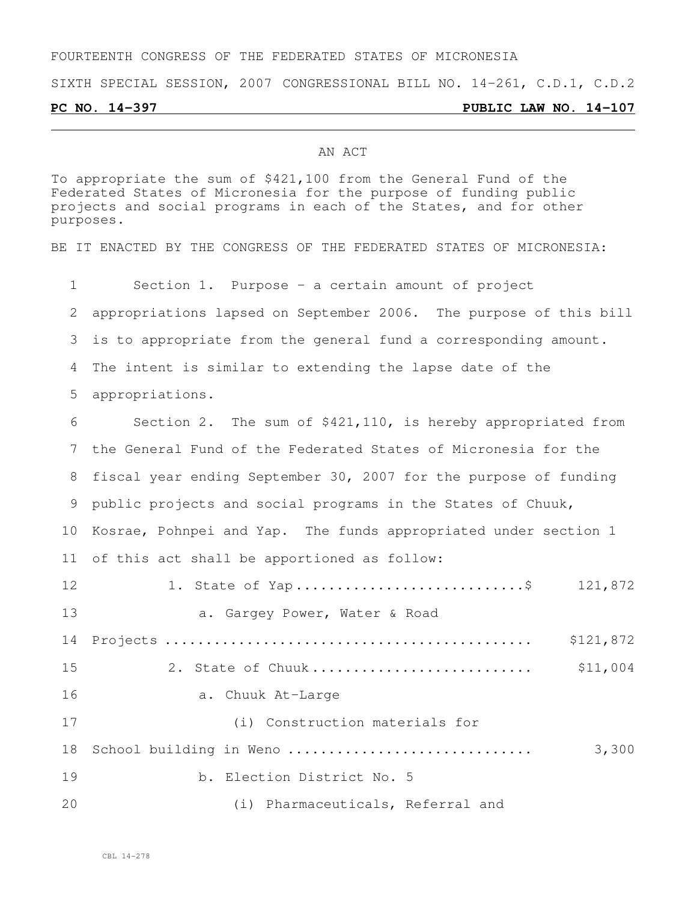## FOURTEENTH CONGRESS OF THE FEDERATED STATES OF MICRONESIA

SIXTH SPECIAL SESSION, 2007 CONGRESSIONAL BILL NO. 14-261, C.D.1, C.D.2

### **PC NO. 14-397 PUBLIC LAW NO. 14-107**

### AN ACT

To appropriate the sum of \$421,100 from the General Fund of the Federated States of Micronesia for the purpose of funding public projects and social programs in each of the States, and for other purposes.

BE IT ENACTED BY THE CONGRESS OF THE FEDERATED STATES OF MICRONESIA:

 Section 1. Purpose - a certain amount of project appropriations lapsed on September 2006. The purpose of this bill is to appropriate from the general fund a corresponding amount. The intent is similar to extending the lapse date of the appropriations. Section 2. The sum of \$421,110, is hereby appropriated from the General Fund of the Federated States of Micronesia for the fiscal year ending September 30, 2007 for the purpose of funding public projects and social programs in the States of Chuuk, Kosrae, Pohnpei and Yap. The funds appropriated under section 1 of this act shall be apportioned as follow: 1. State of Yap ............................\$ 121,872 13 a. Gargey Power, Water & Road Projects ............................................. \$121,872 2. State of Chuuk ........................... \$11,004 a. Chuuk At-Large (i) Construction materials for School building in Weno .............................. 3,300 19 b. Election District No. 5 (i) Pharmaceuticals, Referral and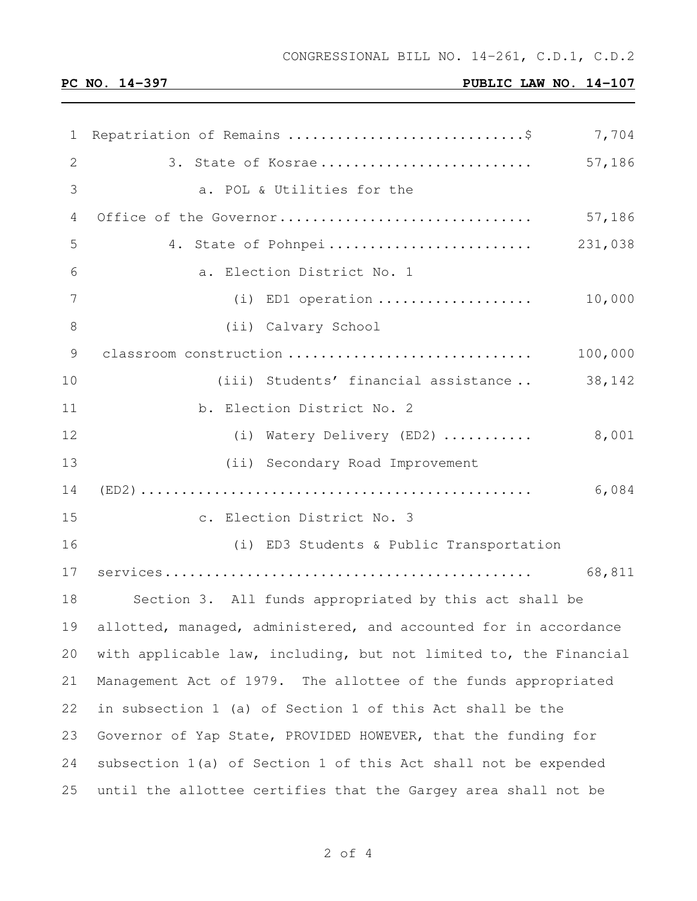# **PC NO. 14-397 PUBLIC LAW NO. 14-107**

| 1           | Repatriation of Remains \$<br>7,704                               |
|-------------|-------------------------------------------------------------------|
| 2           | 57,186<br>3. State of Kosrae                                      |
| 3           | a. POL & Utilities for the                                        |
| 4           | Office of the Governor<br>57,186                                  |
| 5           | 231,038<br>4. State of Pohnpei                                    |
| 6           | a. Election District No. 1                                        |
| 7           | (i) ED1 operation<br>10,000                                       |
| 8           | (ii) Calvary School                                               |
| $\mathsf 9$ | classroom construction<br>100,000                                 |
| 10          | 38,142<br>(iii) Students' financial assistance                    |
| 11          | b. Election District No. 2                                        |
| 12          | 8,001<br>(i) Watery Delivery (ED2)                                |
| 13          | (ii) Secondary Road Improvement                                   |
| 14          | 6,084                                                             |
| 15          | c. Election District No. 3                                        |
| 16          | (i) ED3 Students & Public Transportation                          |
| 17          | 68,811                                                            |
| 18          | Section 3. All funds appropriated by this act shall be            |
| 19          | allotted, managed, administered, and accounted for in accordance  |
| 20          | with applicable law, including, but not limited to, the Financial |
| 21          | Management Act of 1979. The allottee of the funds appropriated    |
| 22          | in subsection 1 (a) of Section 1 of this Act shall be the         |
| 23          | Governor of Yap State, PROVIDED HOWEVER, that the funding for     |
| 24          | subsection 1(a) of Section 1 of this Act shall not be expended    |
| 25          | until the allottee certifies that the Gargey area shall not be    |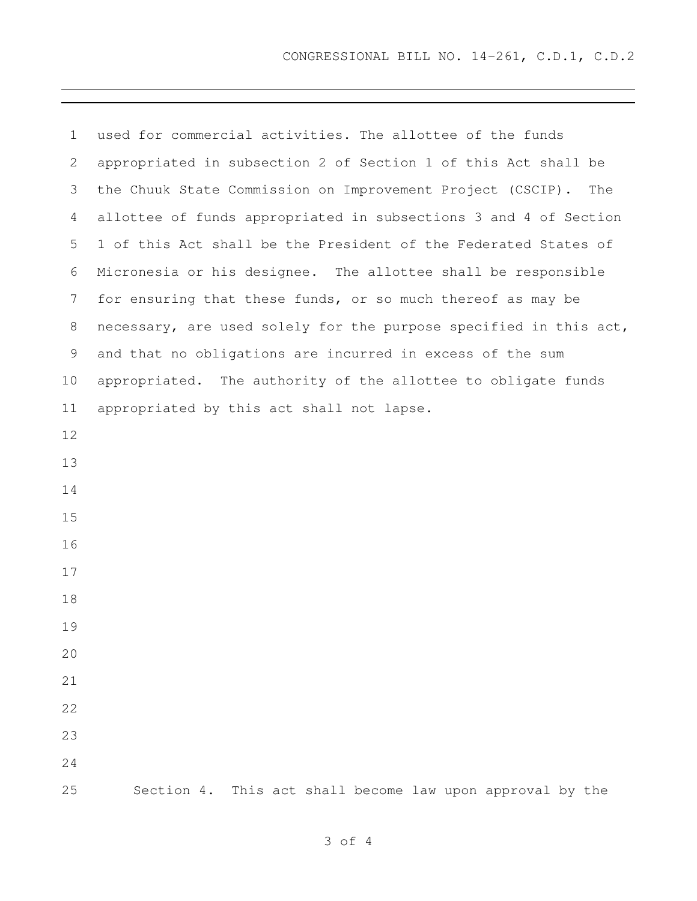| $\mathbf 1$    | used for commercial activities. The allottee of the funds         |
|----------------|-------------------------------------------------------------------|
| 2              | appropriated in subsection 2 of Section 1 of this Act shall be    |
| 3              | the Chuuk State Commission on Improvement Project (CSCIP).<br>The |
| 4              | allottee of funds appropriated in subsections 3 and 4 of Section  |
| 5              | 1 of this Act shall be the President of the Federated States of   |
| 6              | Micronesia or his designee. The allottee shall be responsible     |
| $7\phantom{.}$ | for ensuring that these funds, or so much thereof as may be       |
| 8              | necessary, are used solely for the purpose specified in this act, |
| 9              | and that no obligations are incurred in excess of the sum         |
| 10             | appropriated. The authority of the allottee to obligate funds     |
| 11             | appropriated by this act shall not lapse.                         |
| 12             |                                                                   |
| 13             |                                                                   |
| 14             |                                                                   |
| 15             |                                                                   |
| 16             |                                                                   |
| 17             |                                                                   |
| 18             |                                                                   |
| 19             |                                                                   |
| 20             |                                                                   |
| 21             |                                                                   |
| 22             |                                                                   |
| 23             |                                                                   |
| 24             |                                                                   |
| 25             | Section 4. This act shall become law upon approval by the         |